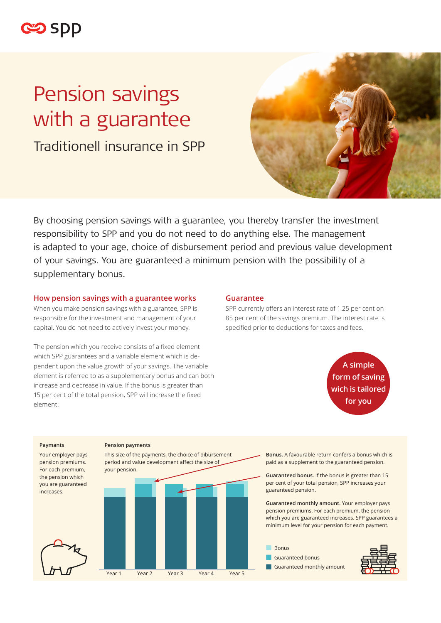

# Pension savings with a guarantee

Traditionell insurance in SPP



By choosing pension savings with a guarantee, you thereby transfer the investment responsibility to SPP and you do not need to do anything else. The management is adapted to your age, choice of disbursement period and previous value development of your savings. You are guaranteed a minimum pension with the possibility of a supplementary bonus.

## **How pension savings with a guarantee works**

When you make pension savings with a guarantee, SPP is responsible for the investment and management of your capital. You do not need to actively invest your money.

The pension which you receive consists of a fixed element which SPP guarantees and a variable element which is dependent upon the value growth of your savings. The variable element is referred to as a supplementary bonus and can both increase and decrease in value. If the bonus is greater than 15 per cent of the total pension, SPP will increase the fixed element.

#### **Guarantee**

SPP currently offers an interest rate of 1.25 per cent on 85 per cent of the savings premium. The interest rate is specified prior to deductions for taxes and fees.

> **A simple form of saving wich is tailored for you**

#### **Paymants**

Your employer pays pension premiums. For each premium, the pension which you are guaranteed increases.

#### **Pension payments**



**Bonus.** A favourable return confers a bonus which is paid as a supplement to the guaranteed pension.

**Guaranteed bonus.** If the bonus is greater than 15 per cent of your total pension, SPP increases your guaranteed pension.

**Guaranteed monthly amount.** Your employer pays pension premiums. For each premium, the pension which you are guaranteed increases. SPP guarantees a minimum level for your pension for each payment.

■ Bonus ■ Guaranteed bonus

■ Guaranteed monthly amount